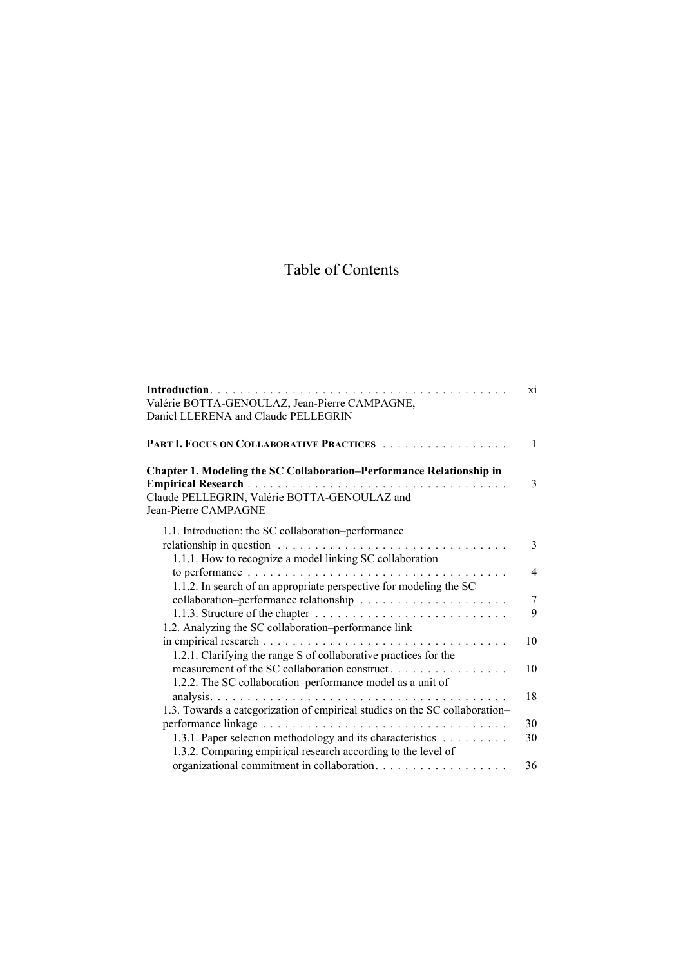## Table of Contents

|                                                                                                      | X1            |
|------------------------------------------------------------------------------------------------------|---------------|
| Valérie BOTTA-GENOULAZ, Jean-Pierre CAMPAGNE,                                                        |               |
| Daniel LLERENA and Claude PELLEGRIN                                                                  |               |
|                                                                                                      |               |
| PART I. FOCUS ON COLLABORATIVE PRACTICES                                                             | $\mathbf{1}$  |
| Chapter 1. Modeling the SC Collaboration-Performance Relationship in                                 |               |
|                                                                                                      | 3             |
| Claude PELLEGRIN, Valérie BOTTA-GENOULAZ and                                                         |               |
| Jean-Pierre CAMPAGNE                                                                                 |               |
| 1.1. Introduction: the SC collaboration-performance                                                  |               |
| relationship in question $\dots \dots \dots \dots \dots \dots \dots \dots \dots \dots \dots$         | $\mathcal{E}$ |
| 1.1.1. How to recognize a model linking SC collaboration                                             |               |
| to performance $\ldots \ldots \ldots \ldots \ldots \ldots \ldots \ldots \ldots \ldots \ldots \ldots$ | 4             |
| 1.1.2. In search of an appropriate perspective for modeling the SC                                   |               |
|                                                                                                      | 7             |
|                                                                                                      | 9             |
| 1.2. Analyzing the SC collaboration-performance link                                                 |               |
|                                                                                                      | 10            |
| 1.2.1. Clarifying the range S of collaborative practices for the                                     |               |
| measurement of the SC collaboration construct                                                        | 10            |
| 1.2.2. The SC collaboration-performance model as a unit of                                           |               |
|                                                                                                      | 18            |
| 1.3. Towards a categorization of empirical studies on the SC collaboration-                          |               |
|                                                                                                      | 30            |
| 1.3.1. Paper selection methodology and its characteristics                                           | 30            |
| 1.3.2. Comparing empirical research according to the level of                                        |               |
|                                                                                                      | 36            |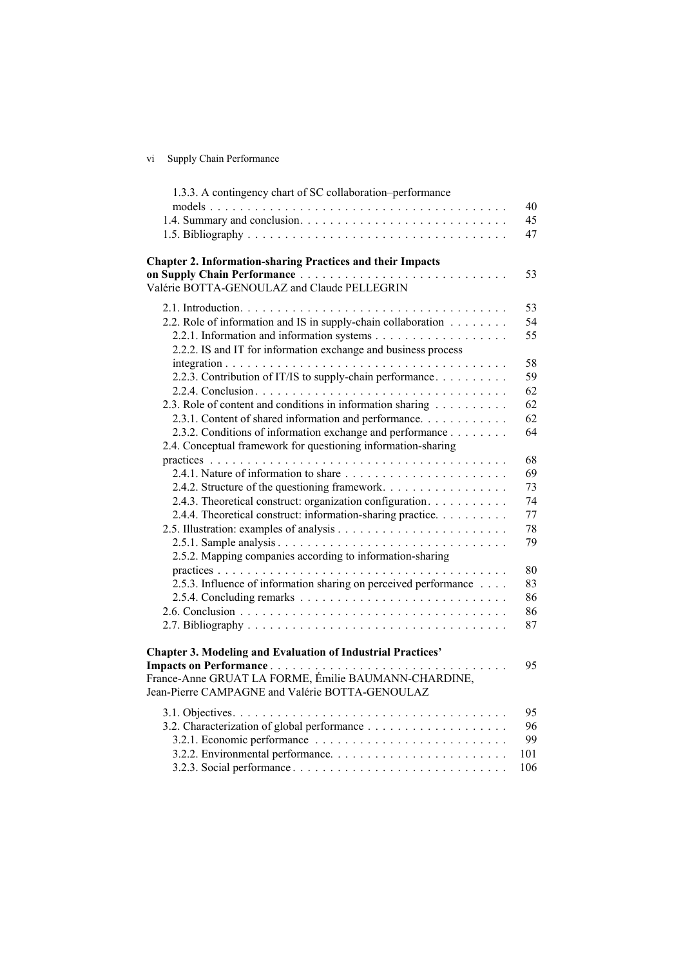vi Supply Chain Performance

| 1.3.3. A contingency chart of SC collaboration-performance                                              | 40  |
|---------------------------------------------------------------------------------------------------------|-----|
|                                                                                                         | 45  |
|                                                                                                         | 47  |
|                                                                                                         |     |
| <b>Chapter 2. Information-sharing Practices and their Impacts</b><br>on Supply Chain Performance        | 53  |
| Valérie BOTTA-GENOULAZ and Claude PELLEGRIN                                                             |     |
|                                                                                                         | 53  |
| 2.2. Role of information and IS in supply-chain collaboration                                           | 54  |
|                                                                                                         | 55  |
| 2.2.2. IS and IT for information exchange and business process                                          |     |
|                                                                                                         | 58  |
| 2.2.3. Contribution of IT/IS to supply-chain performance                                                | 59  |
|                                                                                                         | 62  |
| 2.3. Role of content and conditions in information sharing                                              | 62  |
| 2.3.1. Content of shared information and performance.                                                   | 62  |
| 2.3.2. Conditions of information exchange and performance                                               | 64  |
| 2.4. Conceptual framework for questioning information-sharing                                           |     |
|                                                                                                         | 68  |
|                                                                                                         | 69  |
| 2.4.2. Structure of the questioning framework.                                                          | 73  |
| 2.4.3. Theoretical construct: organization configuration.                                               | 74  |
| 2.4.4. Theoretical construct: information-sharing practice.                                             | 77  |
|                                                                                                         | 78  |
|                                                                                                         | 79  |
| 2.5.2. Mapping companies according to information-sharing                                               |     |
|                                                                                                         | 80  |
| 2.5.3. Influence of information sharing on perceived performance                                        | 83  |
|                                                                                                         | 86  |
|                                                                                                         | 86  |
|                                                                                                         | 87  |
| <b>Chapter 3. Modeling and Evaluation of Industrial Practices'</b>                                      |     |
| Impacts on Performance                                                                                  | 95  |
| France-Anne GRUAT LA FORME, Émilie BAUMANN-CHARDINE,<br>Jean-Pierre CAMPAGNE and Valérie BOTTA-GENOULAZ |     |
|                                                                                                         | 95  |
|                                                                                                         | 96  |
|                                                                                                         | 99  |
|                                                                                                         | 101 |
|                                                                                                         | 106 |
|                                                                                                         |     |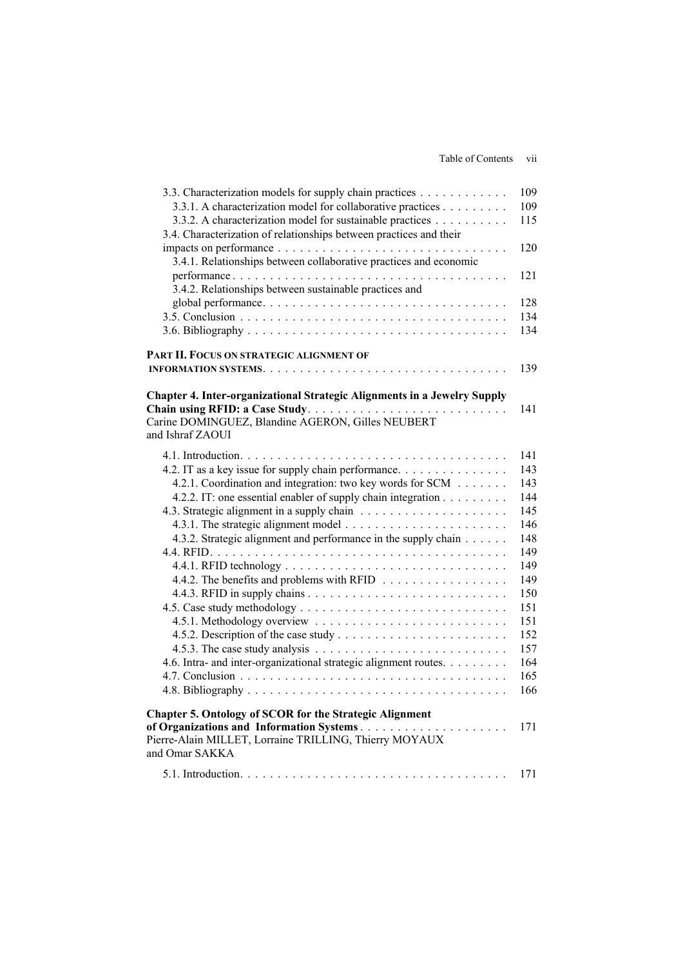Table of Contents vii

| 3.3. Characterization models for supply chain practices                  | 109 |
|--------------------------------------------------------------------------|-----|
| 3.3.1. A characterization model for collaborative practices              | 109 |
| 3.3.2. A characterization model for sustainable practices                | 115 |
| 3.4. Characterization of relationships between practices and their       |     |
|                                                                          | 120 |
| 3.4.1. Relationships between collaborative practices and economic        |     |
|                                                                          | 121 |
| 3.4.2. Relationships between sustainable practices and                   |     |
|                                                                          | 128 |
|                                                                          | 134 |
|                                                                          | 134 |
|                                                                          |     |
| PART II. FOCUS ON STRATEGIC ALIGNMENT OF                                 |     |
|                                                                          | 139 |
|                                                                          |     |
| Chapter 4. Inter-organizational Strategic Alignments in a Jewelry Supply |     |
|                                                                          | 141 |
| Carine DOMINGUEZ, Blandine AGERON, Gilles NEUBERT<br>and Ishraf ZAOUI    |     |
|                                                                          |     |
|                                                                          | 141 |
| 4.2. IT as a key issue for supply chain performance.                     | 143 |
| 4.2.1. Coordination and integration: two key words for SCM               | 143 |
| 4.2.2. IT: one essential enabler of supply chain integration             | 144 |
|                                                                          | 145 |
|                                                                          | 146 |
| 4.3.2. Strategic alignment and performance in the supply chain           | 148 |
|                                                                          | 149 |
|                                                                          | 149 |
| 4.4.2. The benefits and problems with RFID                               | 149 |
|                                                                          | 150 |
|                                                                          | 151 |
|                                                                          | 151 |
|                                                                          | 152 |
|                                                                          | 157 |
| 4.6. Intra- and inter-organizational strategic alignment routes.         | 164 |
|                                                                          | 165 |
|                                                                          | 166 |
| <b>Chapter 5. Ontology of SCOR for the Strategic Alignment</b>           |     |
| of Organizations and Information Systems                                 | 171 |
| Pierre-Alain MILLET, Lorraine TRILLING, Thierry MOYAUX                   |     |
| and Omar SAKKA                                                           |     |
|                                                                          |     |
|                                                                          | 171 |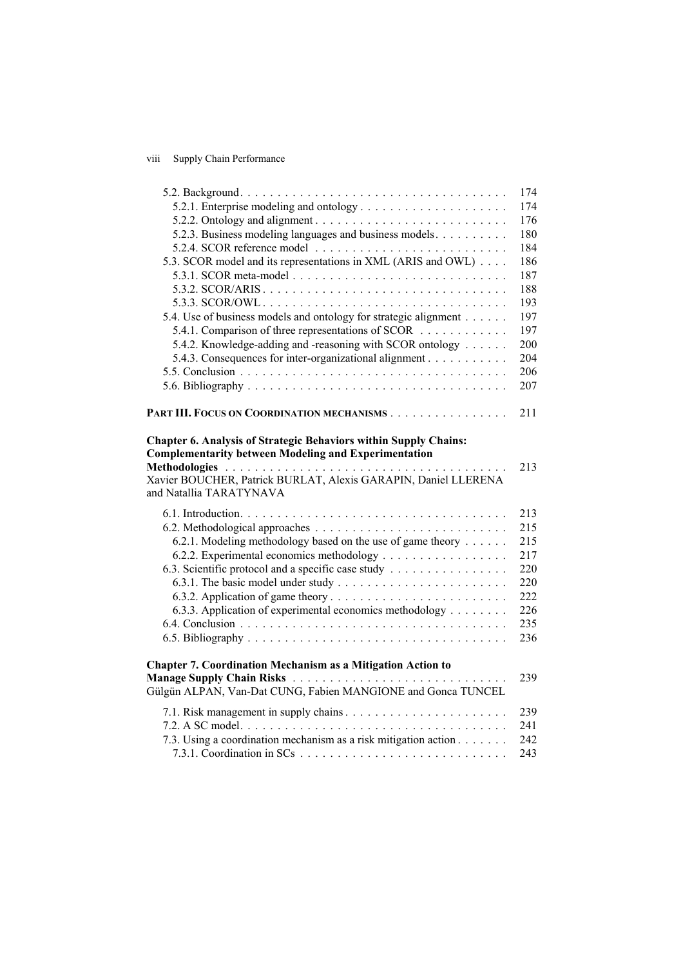viii Supply Chain Performance

|                                                                                                                                                          | 174 |
|----------------------------------------------------------------------------------------------------------------------------------------------------------|-----|
| 5.2.1. Enterprise modeling and ontology                                                                                                                  | 174 |
|                                                                                                                                                          | 176 |
| 5.2.3. Business modeling languages and business models.                                                                                                  | 180 |
|                                                                                                                                                          | 184 |
| 5.3. SCOR model and its representations in XML (ARIS and OWL)                                                                                            | 186 |
|                                                                                                                                                          | 187 |
|                                                                                                                                                          | 188 |
|                                                                                                                                                          | 193 |
| 5.4. Use of business models and ontology for strategic alignment                                                                                         | 197 |
| 5.4.1. Comparison of three representations of SCOR                                                                                                       | 197 |
| 5.4.2. Knowledge-adding and -reasoning with SCOR ontology                                                                                                | 200 |
| 5.4.3. Consequences for inter-organizational alignment                                                                                                   | 204 |
|                                                                                                                                                          | 206 |
|                                                                                                                                                          | 207 |
|                                                                                                                                                          |     |
| PART III. FOCUS ON COORDINATION MECHANISMS                                                                                                               | 211 |
| <b>Complementarity between Modeling and Experimentation</b><br>Xavier BOUCHER, Patrick BURLAT, Alexis GARAPIN, Daniel LLERENA<br>and Natallia TARATYNAVA | 213 |
|                                                                                                                                                          | 213 |
|                                                                                                                                                          | 215 |
| 6.2.1. Modeling methodology based on the use of game theory                                                                                              | 215 |
|                                                                                                                                                          | 217 |
| 6.3. Scientific protocol and a specific case study                                                                                                       | 220 |
|                                                                                                                                                          | 220 |
|                                                                                                                                                          | 222 |
| 6.3.3. Application of experimental economics methodology                                                                                                 | 226 |
|                                                                                                                                                          | 235 |
|                                                                                                                                                          | 236 |
| <b>Chapter 7. Coordination Mechanism as a Mitigation Action to</b><br>Gülgün ALPAN, Van-Dat CUNG, Fabien MANGIONE and Gonca TUNCEL                       | 239 |
|                                                                                                                                                          | 239 |
|                                                                                                                                                          | 241 |
| 7.3. Using a coordination mechanism as a risk mitigation action                                                                                          | 242 |
| 7.3.1. Coordination in SCs $\ldots \ldots \ldots \ldots \ldots \ldots \ldots \ldots \ldots$                                                              | 243 |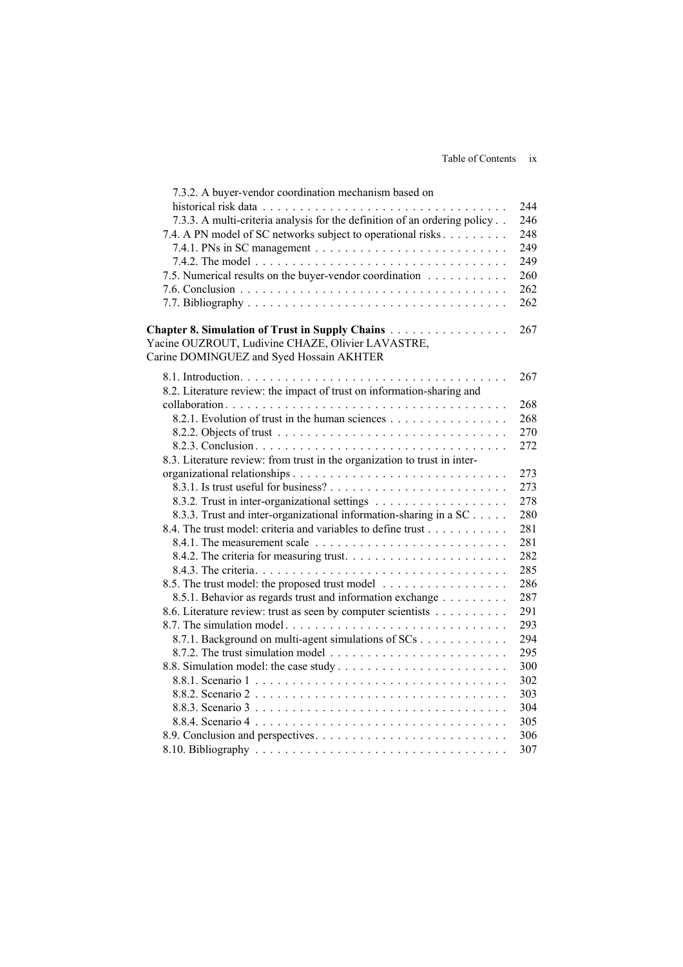| 7.3.2. A buyer-vendor coordination mechanism based on                                                |     |
|------------------------------------------------------------------------------------------------------|-----|
|                                                                                                      | 244 |
| 7.3.3. A multi-criteria analysis for the definition of an ordering policy                            | 246 |
| 7.4. A PN model of SC networks subject to operational risks                                          | 248 |
|                                                                                                      | 249 |
|                                                                                                      | 249 |
| 7.5. Numerical results on the buyer-vendor coordination                                              | 260 |
|                                                                                                      | 262 |
|                                                                                                      | 262 |
| Chapter 8. Simulation of Trust in Supply Chains<br>Yacine OUZROUT, Ludivine CHAZE, Olivier LAVASTRE, | 267 |
| Carine DOMINGUEZ and Syed Hossain AKHTER                                                             |     |
|                                                                                                      | 267 |
| 8.2. Literature review: the impact of trust on information-sharing and                               |     |
|                                                                                                      | 268 |
| 8.2.1. Evolution of trust in the human sciences                                                      | 268 |
|                                                                                                      | 270 |
|                                                                                                      | 272 |
| 8.3. Literature review: from trust in the organization to trust in inter-                            |     |
|                                                                                                      | 273 |
|                                                                                                      | 273 |
|                                                                                                      | 278 |
| 8.3.3. Trust and inter-organizational information-sharing in a SC                                    | 280 |
| 8.4. The trust model: criteria and variables to define trust                                         | 281 |
|                                                                                                      | 281 |
|                                                                                                      | 282 |
|                                                                                                      | 285 |
| 8.5. The trust model: the proposed trust model                                                       | 286 |
| 8.5.1. Behavior as regards trust and information exchange                                            | 287 |
| 8.6. Literature review: trust as seen by computer scientists                                         | 291 |
|                                                                                                      | 293 |
| 8.7.1. Background on multi-agent simulations of SCs                                                  | 294 |
|                                                                                                      | 295 |
|                                                                                                      | 300 |
|                                                                                                      | 302 |
|                                                                                                      | 303 |
|                                                                                                      | 304 |
|                                                                                                      | 305 |
|                                                                                                      | 306 |
|                                                                                                      | 307 |